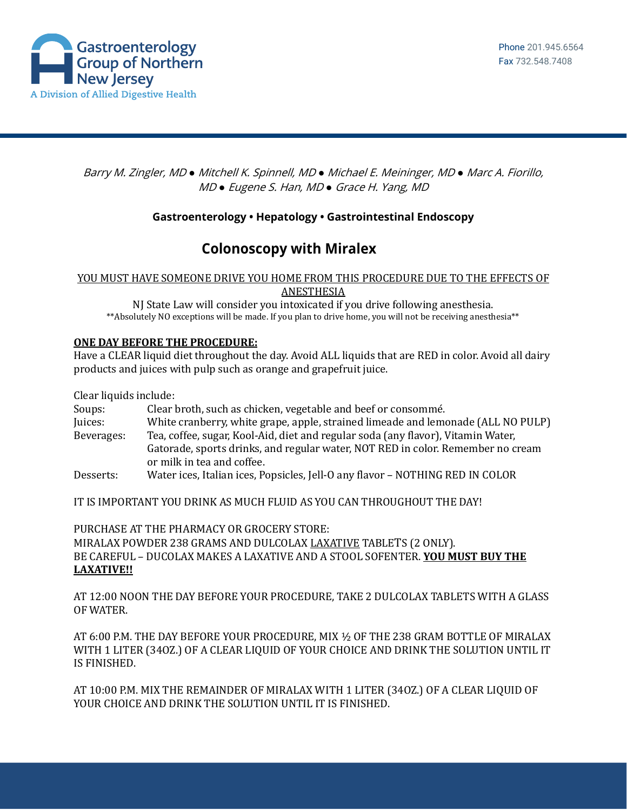

### Barry M. Zingler, MD *●* Mitchell K. Spinnell, MD *●* Michael E. Meininger, MD *●* Marc A. Fiorillo, MD *●* Eugene S. Han, MD *●* Grace H. Yang, MD

## **Gastroenterology • Hepatology • Gastrointestinal Endoscopy**

# **Colonoscopy with Miralex**

#### YOU MUST HAVE SOMEONE DRIVE YOU HOME FROM THIS PROCEDURE DUE TO THE EFFECTS OF ANESTHESIA

NJ State Law will consider you intoxicated if you drive following anesthesia. \*\*Absolutely NO exceptions will be made. If you plan to drive home, you will not be receiving anesthesia\*\*

#### **ONE DAY BEFORE THE PROCEDURE:**

Have a CLEAR liquid diet throughout the day. Avoid ALL liquids that are RED in color. Avoid all dairy products and juices with pulp such as orange and grapefruit juice.

Clear liquids include:

Soups: Clear broth, such as chicken, vegetable and beef or consommé. Juices: White cranberry, white grape, apple, strained limeade and lemonade (ALL NO PULP) Beverages: Tea, coffee, sugar, Kool-Aid, diet and regular soda (any flavor), Vitamin Water, Gatorade, sports drinks, and regular water, NOT RED in color. Remember no cream or milk in tea and coffee. Desserts: Water ices, Italian ices, Popsicles, Jell-O any flavor – NOTHING RED IN COLOR

IT IS IMPORTANT YOU DRINK AS MUCH FLUID AS YOU CAN THROUGHOUT THE DAY!

PURCHASE AT THE PHARMACY OR GROCERY STORE: MIRALAX POWDER 238 GRAMS AND DULCOLAX LAXATIVE TABLETS (2 ONLY). BE CAREFUL – DUCOLAX MAKES A LAXATIVE AND A STOOL SOFENTER. **YOU MUST BUY THE LAXATIVE!!**

AT 12:00 NOON THE DAY BEFORE YOUR PROCEDURE, TAKE 2 DULCOLAX TABLETS WITH A GLASS OF WATER.

AT 6:00 P.M. THE DAY BEFORE YOUR PROCEDURE, MIX ½ OF THE 238 GRAM BOTTLE OF MIRALAX WITH 1 LITER (34OZ.) OF A CLEAR LIQUID OF YOUR CHOICE AND DRINK THE SOLUTION UNTIL IT IS FINISHED.

AT 10:00 P.M. MIX THE REMAINDER OF MIRALAX WITH 1 LITER (34OZ.) OF A CLEAR LIQUID OF YOUR CHOICE AND DRINK THE SOLUTION UNTIL IT IS FINISHED.